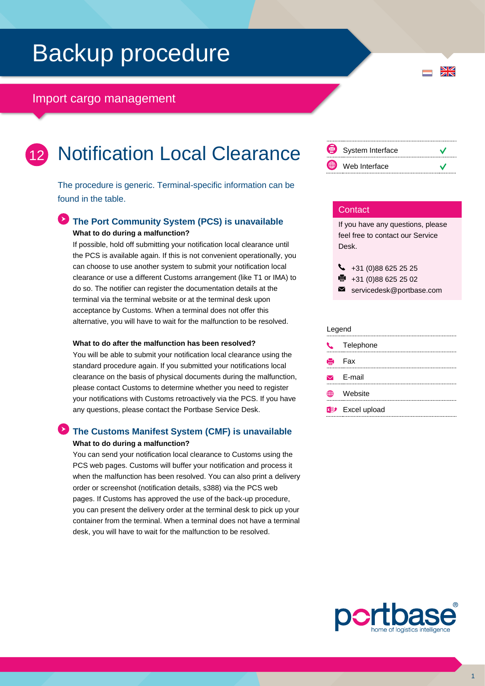## Backup procedure

## Import cargo management



The procedure is generic. Terminal-specific information can be found in the table.

### **The Port Community System (PCS) is unavailable What to do during a malfunction?**

If possible, hold off submitting your notification local clearance until the PCS is available again. If this is not convenient operationally, you can choose to use another system to submit your notification local clearance or use a different Customs arrangement (like T1 or IMA) to do so. The notifier can register the documentation details at the terminal via the terminal website or at the terminal desk upon acceptance by Customs. When a terminal does not offer this alternative, you will have to wait for the malfunction to be resolved.

#### **What to do after the malfunction has been resolved?**

You will be able to submit your notification local clearance using the standard procedure again. If you submitted your notifications local clearance on the basis of physical documents during the malfunction, please contact Customs to determine whether you need to register your notifications with Customs retroactively via the PCS. If you have any questions, please contact the Portbase Service Desk.

### **The Customs Manifest System (CMF) is unavailable What to do during a malfunction?**

You can send your notification local clearance to Customs using the PCS web pages. Customs will buffer your notification and process it when the malfunction has been resolved. You can also print a delivery order or screenshot (notification details, s388) via the PCS web pages. If Customs has approved the use of the back-up procedure, you can present the delivery order at the terminal desk to pick up your container from the terminal. When a terminal does not have a terminal desk, you will have to wait for the malfunction to be resolved.



 $\frac{N}{Z}$ 

#### **Contact**

If you have any questions, please feel free to contact our Service Desk.

|   | $\bullet$ +31 (0)88 625 25 25                           |
|---|---------------------------------------------------------|
| . | $\sim$ $\sim$ $\sim$ $\sim$ $\sim$ $\sim$ $\sim$ $\sim$ |

- +31 (0)88 625 25 02 e,
- $\blacksquare$ servicedesk@portbase.com

#### Legend

| C Telephone             |
|-------------------------|
| <b>侵</b> Fax            |
| $\triangleright$ E-mail |
| <b>無 Website</b>        |
| <b>XD</b> Excel upload  |
|                         |

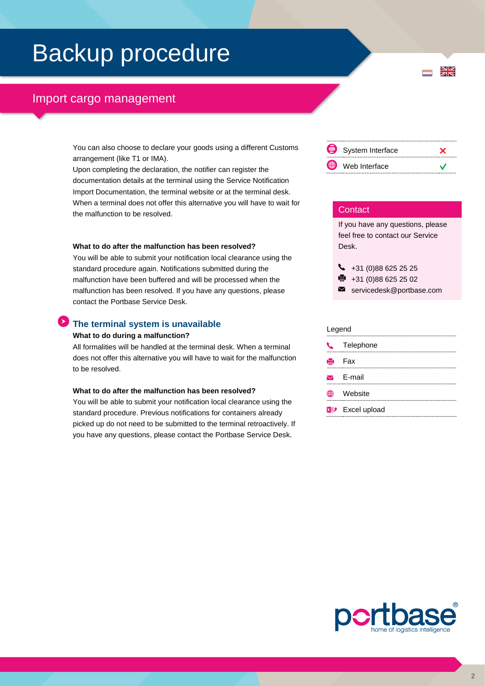## Backup procedure

## Import cargo management

You can also choose to declare your goods using a different Customs arrangement (like T1 or IMA).

Upon completing the declaration, the notifier can register the documentation details at the terminal using the Service Notification Import Documentation, the terminal website or at the terminal desk. When a terminal does not offer this alternative you will have to wait for the malfunction to be resolved.

#### **What to do after the malfunction has been resolved?**

You will be able to submit your notification local clearance using the standard procedure again. Notifications submitted during the malfunction have been buffered and will be processed when the malfunction has been resolved. If you have any questions, please contact the Portbase Service Desk.

#### **The terminal system is unavailable**

#### **What to do during a malfunction?**

All formalities will be handled at the terminal desk. When a terminal does not offer this alternative you will have to wait for the malfunction to be resolved.

#### **What to do after the malfunction has been resolved?**

You will be able to submit your notification local clearance using the standard procedure. Previous notifications for containers already picked up do not need to be submitted to the terminal retroactively. If you have any questions, please contact the Portbase Service Desk.



 $\frac{N}{N}$ 

#### **Contact**

If you have any questions, please feel free to contact our Service Desk.

 $\begin{array}{r} \big\{\end{array}$  +31 (0)88 625 25 25 ● +31 (0)88 625 25 02

servicedesk@portbase.com

#### Legend

| -- <del>. .</del>                  |  |  |  |  |
|------------------------------------|--|--|--|--|
| L Telephone                        |  |  |  |  |
| <b>侵</b> Fax                       |  |  |  |  |
| $\triangleright$ E-mail            |  |  |  |  |
| <b><i>A</i></b> Website            |  |  |  |  |
| <b>x</b> <sup>p</sup> Excel upload |  |  |  |  |
|                                    |  |  |  |  |

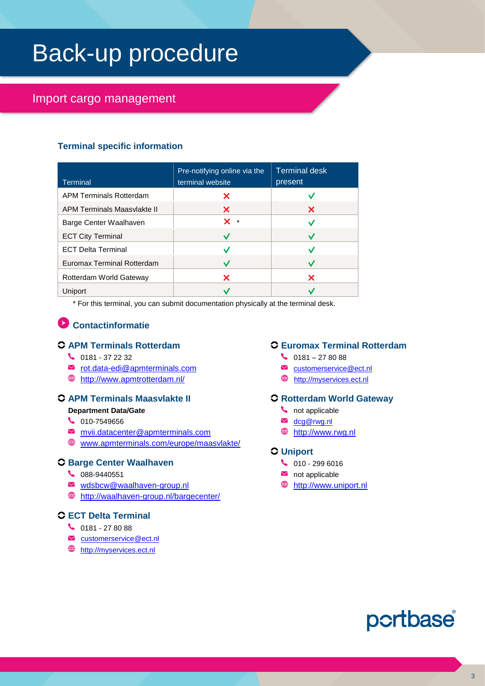## Back-up procedure

## Import cargo management

## **Terminal specific information**

| Terminal                       | Pre-notifying online via the<br>terminal website | <b>Terminal desk</b><br>present |
|--------------------------------|--------------------------------------------------|---------------------------------|
| <b>APM Terminals Rotterdam</b> | x                                                |                                 |
| APM Terminals Maasvlakte II    | X                                                | x                               |
| Barge Center Waalhaven         | $\mathbf{x}$ $\cdot$                             |                                 |
| <b>ECT City Terminal</b>       |                                                  |                                 |
| <b>ECT Delta Terminal</b>      |                                                  |                                 |
| Euromax Terminal Rotterdam     |                                                  |                                 |
| Rotterdam World Gateway        | x                                                | x                               |
| Uniport                        |                                                  |                                 |

\* For this terminal, you can submit documentation physically at the terminal desk.

## **Contactinformatie**

## **APM Terminals Rotterdam**

- $\bigcup$  0181 37 22 32
- $\blacksquare$  [rot.data-edi@apmterminals.com](mailto:rot.data-edi@apmterminals.com)
- <http://www.apmtrotterdam.nl/>

## **APM Terminals Maasvlakte II**

- **Department Data/Gate**
- $\begin{array}{c} \big\downarrow \ \end{array}$  010-7549656
- [mvii.datacenter@apmterminals.com](mailto:mvii.datacenter@apmterminals.com)
- [www.apmterminals.com/europe/maasvlakte/](http://www.apmterminals.com/europe/maasvlakte/) ⊕

## **Barge Center Waalhaven**

- 6 088-9440551
- [wdsbcw@waalhaven-group.nl](mailto:wdsbcw@waalhaven-group.nl)
- <http://waalhaven-group.nl/bargecenter/>

## **ECT Delta Terminal**

- $\begin{matrix} \bullet & 0181 278088 \end{matrix}$
- [customerservice@ect.nl](mailto:customerservice@ect.nl)
- **<sup>●</sup>** [http://myservices.ect.nl](http://myservices.ect.nl/)

### **Euromax Terminal Rotterdam**

- $\begin{array}{c} \big\downarrow \ \end{array}$  0181 27 80 88
- M customerservice@ect.nl
- **f** [http://myservices.ect.nl](http://myservices.ect.nl/)

## **Rotterdam World Gateway**

- $\bullet$  not applicable
- **M** dcg@rwg.nl
- [http://www.rwg.nl](http://www.rwg.nl/)

### **Uniport**

- $\begin{array}{cc} \bullet & 010 2996016 \end{array}$
- $\blacksquare$  not applicable
- **<sup><sup>9</sup>**</sup> [http://www.uniport.nl](http://www.uniport.nl/)

## portbase®